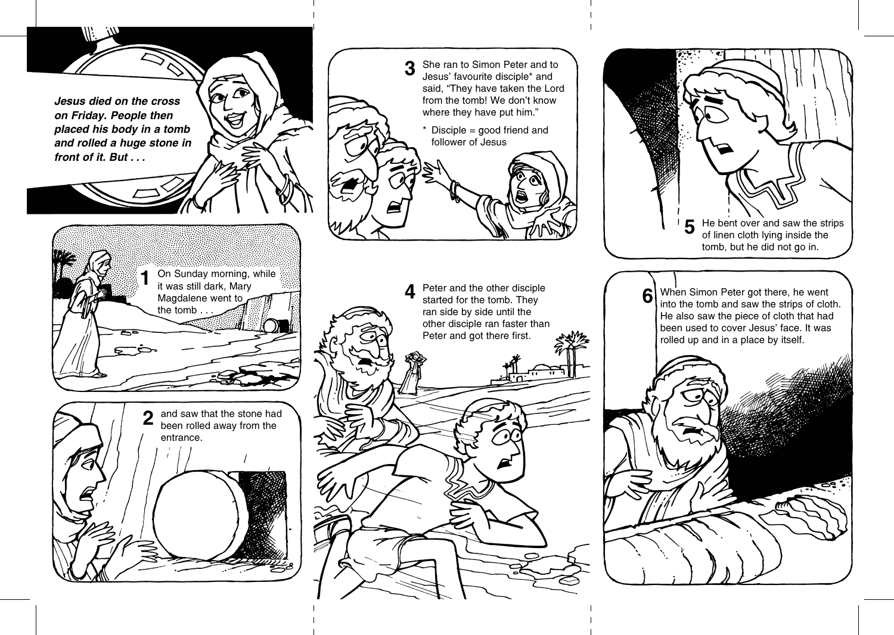Jesus died on the cross on Friday. People then placed his body in a tomb and rolled a huge stone in front of it. But . . .



On Sunday morning, while it was still dark, Mary

Magdalene went to

the tomb.



She ran to Simon Peter and to Jesus' favourite disciple\* and said, "They have taken the Lord

from the tomb! We don't know where they have put him."

Disciple = good friend and

follower of Jesus